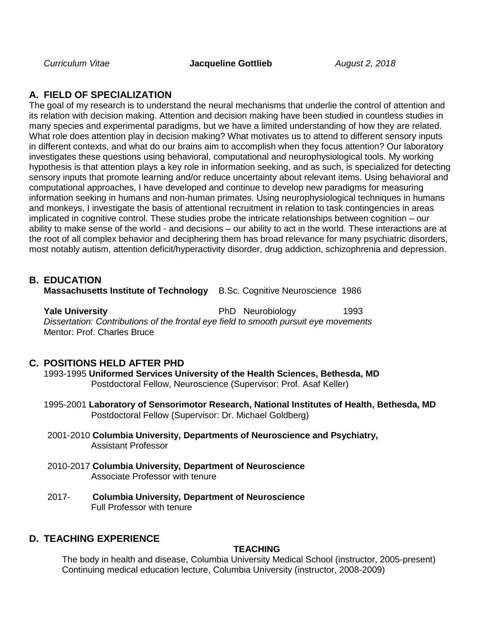*Curriculum Vitae* **Jacqueline Gottlieb** *August 2, 2018*

## **A. FIELD OF SPECIALIZATION**

The goal of my research is to understand the neural mechanisms that underlie the control of attention and its relation with decision making. Attention and decision making have been studied in countless studies in many species and experimental paradigms, but we have a limited understanding of how they are related. What role does attention play in decision making? What motivates us to attend to different sensory inputs in different contexts, and what do our brains aim to accomplish when they focus attention? Our laboratory investigates these questions using behavioral, computational and neurophysiological tools. My working hypothesis is that attention plays a key role in information seeking, and as such, is specialized for detecting sensory inputs that promote learning and/or reduce uncertainty about relevant items. Using behavioral and computational approaches, I have developed and continue to develop new paradigms for measuring information seeking in humans and non-human primates. Using neurophysiological techniques in humans and monkeys, I investigate the basis of attentional recruitment in relation to task contingencies in areas implicated in cognitive control. These studies probe the intricate relationships between cognition – our ability to make sense of the world - and decisions – our ability to act in the world. These interactions are at the root of all complex behavior and deciphering them has broad relevance for many psychiatric disorders, most notably autism, attention deficit/hyperactivity disorder, drug addiction, schizophrenia and depression.

### **B. EDUCATION**

**Massachusetts Institute of Technology** B.Sc. Cognitive Neuroscience 1986

**Yale University PhD Neurobiology** 1993 *Dissertation: Contributions of the frontal eye field to smooth pursuit eye movements* Mentor: Prof. Charles Bruce

### **C. POSITIONS HELD AFTER PHD**

1993-1995 **Uniformed Services University of the Health Sciences, Bethesda, MD** Postdoctoral Fellow, Neuroscience (Supervisor: Prof. Asaf Keller)

- 1995-2001 **Laboratory of Sensorimotor Research, National Institutes of Health, Bethesda, MD** Postdoctoral Fellow (Supervisor: Dr. Michael Goldberg)
- 2001-2010 **Columbia University, Departments of Neuroscience and Psychiatry,**  Assistant Professor
- 2010-2017 **Columbia University, Department of Neuroscience**  Associate Professor with tenure
- 2017- **Columbia University, Department of Neuroscience**  Full Professor with tenure

### **D. TEACHING EXPERIENCE**

### **TEACHING**

The body in health and disease, Columbia University Medical School (instructor, 2005-present) Continuing medical education lecture, Columbia University (instructor, 2008-2009)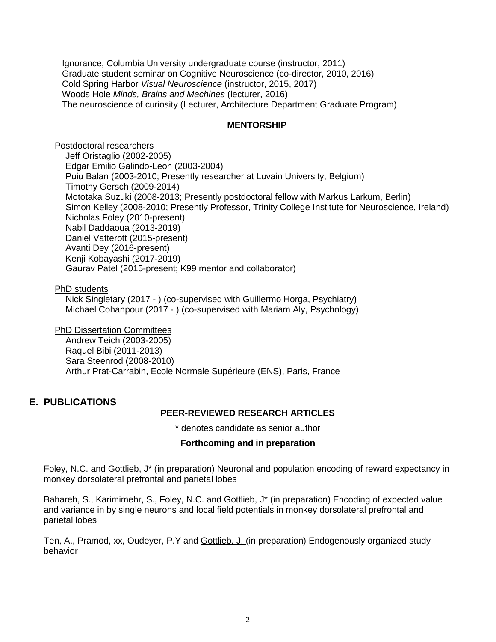Ignorance, Columbia University undergraduate course (instructor, 2011) Graduate student seminar on Cognitive Neuroscience (co-director, 2010, 2016) Cold Spring Harbor *Visual Neuroscience* (instructor, 2015, 2017) Woods Hole *Minds, Brains and Machines* (lecturer, 2016) The neuroscience of curiosity (Lecturer, Architecture Department Graduate Program)

### **MENTORSHIP**

Postdoctoral researchers Jeff Oristaglio (2002-2005) Edgar Emilio Galindo-Leon (2003-2004) Puiu Balan (2003-2010; Presently researcher at Luvain University, Belgium) Timothy Gersch (2009-2014) Mototaka Suzuki (2008-2013; Presently postdoctoral fellow with Markus Larkum, Berlin) Simon Kelley (2008-2010; Presently Professor, Trinity College Institute for Neuroscience, Ireland) Nicholas Foley (2010-present) Nabil Daddaoua (2013-2019) Daniel Vatterott (2015-present) Avanti Dey (2016-present) Kenji Kobayashi (2017-2019) Gaurav Patel (2015-present; K99 mentor and collaborator)

PhD students

Nick Singletary (2017 - ) (co-supervised with Guillermo Horga, Psychiatry) Michael Cohanpour (2017 - ) (co-supervised with Mariam Aly, Psychology)

**PhD Dissertation Committees** 

Andrew Teich (2003-2005) Raquel Bibi (2011-2013) Sara Steenrod (2008-2010) Arthur Prat-Carrabin, Ecole Normale Supérieure (ENS), Paris, France

# **E. PUBLICATIONS**

### **PEER-REVIEWED RESEARCH ARTICLES**

\* denotes candidate as senior author

### **Forthcoming and in preparation**

Foley, N.C. and Gottlieb, J\* (in preparation) Neuronal and population encoding of reward expectancy in monkey dorsolateral prefrontal and parietal lobes

Bahareh, S., Karimimehr, S., Foley, N.C. and Gottlieb, J<sup>\*</sup> (in preparation) Encoding of expected value and variance in by single neurons and local field potentials in monkey dorsolateral prefrontal and parietal lobes

Ten, A., Pramod, xx, Oudeyer, P.Y and Gottlieb, J. (in preparation) Endogenously organized study behavior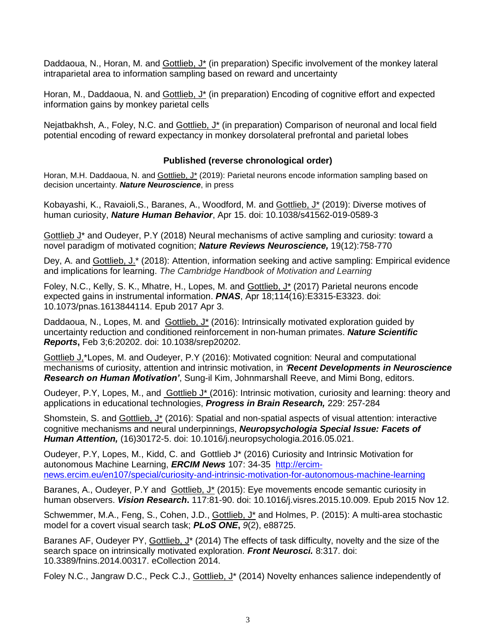Daddaoua, N., Horan, M. and Gottlieb, J\* (in preparation) Specific involvement of the monkey lateral intraparietal area to information sampling based on reward and uncertainty

Horan, M., Daddaoua, N. and Gottlieb, J<sup>\*</sup> (in preparation) Encoding of cognitive effort and expected information gains by monkey parietal cells

Nejatbakhsh, A., Foley, N.C. and Gottlieb, J\* (in preparation) Comparison of neuronal and local field potential encoding of reward expectancy in monkey dorsolateral prefrontal and parietal lobes

### **Published (reverse chronological order)**

Horan, M.H. Daddaoua, N. and Gottlieb, J\* (2019): Parietal neurons encode information sampling based on decision uncertainty. *Nature Neuroscience*, in press

Kobayashi, K., Ravaioli,S., Baranes, A., Woodford, M. and Gottlieb, J\* (2019): Diverse motives of human curiosity, *Nature Human Behavior*, Apr 15. doi: 10.1038/s41562-019-0589-3

Gottlieb J\* and Oudeyer, P.Y (2018) Neural mechanisms of active sampling and curiosity: toward a novel paradigm of motivated cognition; *Nature Reviews Neuroscience,* 19(12):758-770

Dey, A. and Gottlieb, J.\* (2018): Attention, information seeking and active sampling: Empirical evidence and implications for learning. *The Cambridge Handbook of Motivation and Learning*

Foley, N.C., Kelly, S. K., Mhatre, H., Lopes, M. and Gottlieb, J\* (2017) Parietal neurons encode expected gains in instrumental information. *PNAS*, Apr 18;114(16):E3315-E3323. doi: 10.1073/pnas.1613844114. Epub 2017 Apr 3.

Daddaoua, N., Lopes, M. and Gottlieb, J<sup>\*</sup> (2016): Intrinsically motivated exploration quided by uncertainty reduction and conditioned reinforcement in non-human primates. *Nature Scientific Reports***,** Feb 3;6:20202. doi: 10.1038/srep20202.

Gottlieb J,\*Lopes, M. and Oudeyer, P.Y (2016): Motivated cognition: Neural and computational mechanisms of curiosity, attention and intrinsic motivation, in *'Recent Developments in Neuroscience Research on Human Motivation'*, Sung-il Kim, Johnmarshall Reeve, and Mimi Bong, editors.

Oudeyer, P.Y, Lopes, M., and **Gottlieb J<sup>\*</sup>** (2016): Intrinsic motivation, curiosity and learning: theory and applications in educational technologies, *Progress in Brain Research,* 229: 257-284

Shomstein, S. and Gottlieb, J\* (2016): Spatial and non-spatial aspects of visual attention: interactive cognitive mechanisms and neural underpinnings, *Neuropsychologia Special Issue: Facets of Human Attention,* (16)30172-5. doi: 10.1016/j.neuropsychologia.2016.05.021.

Oudeyer, P.Y, Lopes, M., Kidd, C. and Gottlieb J\* (2016) Curiosity and Intrinsic Motivation for autonomous Machine Learning, *ERCIM News* 107: 34-35 [http://ercim](http://ercim-news.ercim.eu/en107/special/curiosity-and-intrinsic-motivation-for-autonomous-machine-learning)[news.ercim.eu/en107/special/curiosity-and-intrinsic-motivation-for-autonomous-machine-learning](http://ercim-news.ercim.eu/en107/special/curiosity-and-intrinsic-motivation-for-autonomous-machine-learning)

Baranes, A., Oudeyer, P.Y and Gottlieb, J<sup>\*</sup> (2015): Eye movements encode semantic curiosity in human observers. *Vision Research***.** 117:81-90. doi: 10.1016/j.visres.2015.10.009. Epub 2015 Nov 12.

Schwemmer, M.A., Feng, S., Cohen, J.D., Gottlieb, J\* and Holmes, P. (2015): A multi-area stochastic model for a covert visual search task; *PLoS ONE***,** *9*(2), e88725.

Baranes AF, Oudeyer PY, Gottlieb, J\* (2014) The effects of task difficulty, novelty and the size of the [search space on intrinsically motivated exploration.](http://www.ncbi.nlm.nih.gov/pubmed/25352771) *Front Neurosci.* 8:317. doi: 10.3389/fnins.2014.00317. eCollection 2014.

Foley N.C., Jangraw D.C., Peck C.J., Gottlieb, J\* (2014) Novelty enhances salience independently of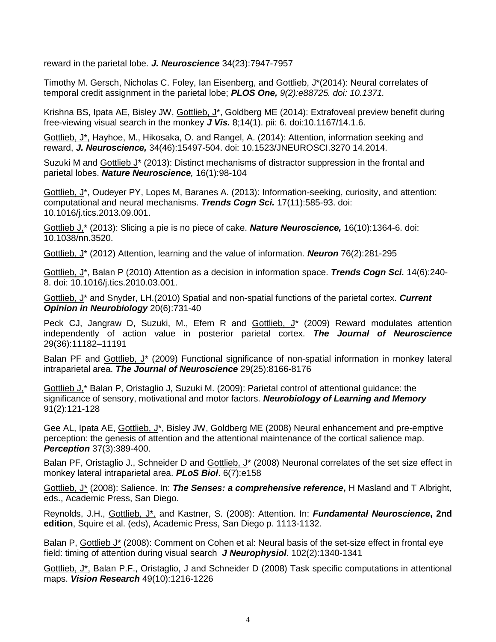reward in the parietal lobe. *J. Neuroscience* 34(23):7947-7957

Timothy M. Gersch, Nicholas C. Foley, Ian Eisenberg, and Gottlieb, J\*(2014): Neural correlates of temporal credit assignment in the parietal lobe; *PLOS One, 9(2):e88725. doi: 10.1371.*

Krishna BS, Ipata AE, Bisley JW, Gottlieb, J\*, Goldberg ME (2014): Extrafoveal preview benefit during free-viewing visual search in the monkey *J Vis.* 8;14(1). pii: 6. doi:10.1167/14.1.6.

Gottlieb, J\*, Hayhoe, M., Hikosaka, O. and Rangel, A. (2014): Attention, information seeking and reward, *J. Neuroscience,* 34(46):15497-504. doi: 10.1523/JNEUROSCI.3270 14.2014.

Suzuki M and Gottlieb J<sup>\*</sup> (2013): Distinct mechanisms of distractor suppression in the frontal and parietal lobes. *Nature Neuroscience,* 16(1):98-104

Gottlieb, J\*, Oudeyer PY, Lopes M, Baranes A. (2013): Information-seeking, curiosity, and attention: computational and neural mechanisms. *Trends Cogn Sci.* 17(11):585-93. doi: 10.1016/j.tics.2013.09.001.

Gottlieb J,\* (2013): Slicing a pie is no piece of cake. *Nature Neuroscience,* 16(10):1364-6. doi: 10.1038/nn.3520.

Gottlieb, J\* (2012) Attention, learning and the value of information. *Neuron* 76(2):281-295

Gottlieb, J\*, Balan P (2010) Attention as a decision in information space. *Trends Cogn Sci.* 14(6):240- 8. doi: 10.1016/j.tics.2010.03.001.

Gottlieb, J\* and Snyder, LH.(2010) Spatial and non-spatial functions of the parietal cortex. *Current Opinion in Neurobiology* 20(6):731-40

Peck CJ, Jangraw D, Suzuki, M., Efem R and Gottlieb, J<sup>\*</sup> (2009) Reward modulates attention independently of action value in posterior parietal cortex. *The Journal of Neuroscience* 29(36):11182–11191

Balan PF and Gottlieb, J<sup>\*</sup> (2009) Functional significance of non-spatial information in monkey lateral intraparietal area. *The Journal of Neuroscience* 29(25):8166-8176

Gottlieb J,\* Balan P, Oristaglio J, Suzuki M. (2009): Parietal control of attentional guidance: the significance of sensory, motivational and motor factors. *Neurobiology of Learning and Memory* 91(2):121-128

Gee AL, Ipata AE, Gottlieb, J<sup>\*</sup>, Bisley JW, Goldberg ME (2008) Neural enhancement and pre-emptive perception: the genesis of attention and the attentional maintenance of the cortical salience map. *Perception* 37(3):389-400.

Balan PF, Oristaglio J., Schneider D and Gottlieb, J<sup>\*</sup> (2008) Neuronal correlates of the set size effect in monkey lateral intraparietal area. *PLoS Biol*. 6(7):e158

Gottlieb, J\* (2008): Salience. In: *The Senses: a comprehensive reference***,** H Masland and T Albright, eds., Academic Press, San Diego.

Reynolds, J.H., Gottlieb, J\*. and Kastner, S. (2008): Attention. In: *Fundamental Neuroscience***, 2nd edition**, Squire et al. (eds), Academic Press, San Diego p. 1113-1132.

Balan P, Gottlieb J\* (2008): Comment on Cohen et al: Neural basis of the set-size effect in frontal eye field: timing of attention during visual search *J Neurophysiol*. 102(2):1340-1341

Gottlieb, J\*, Balan P.F., Oristaglio, J and Schneider D (2008) Task specific computations in attentional maps. *Vision Research* 49(10):1216-1226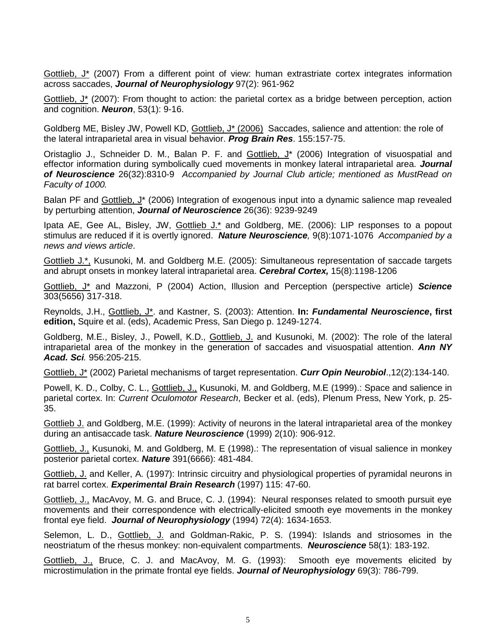Gottlieb, J\* (2007) From a different point of view: human extrastriate cortex integrates information across saccades, *Journal of Neurophysiology* 97(2): 961-962

Gottlieb, J\* (2007): From thought to action: the parietal cortex as a bridge between perception, action and cognition. *Neuron*, 53(1): 9-16.

Goldberg ME, Bisley JW, Powell KD, Gottlieb, J\* (2006) Saccades, salience and attention: the role of the lateral intraparietal area in visual behavior. *Prog Brain Res*. 155:157-75.

Oristaglio J., Schneider D. M., Balan P. F. and Gottlieb, J\* (2006) Integration of visuospatial and effector information during symbolically cued movements in monkey lateral intraparietal area. *Journal of Neuroscience* 26(32):8310-9 *Accompanied by Journal Club article; mentioned as MustRead on Faculty of 1000.*

Balan PF and Gottlieb, J<sup>\*</sup> (2006) Integration of exogenous input into a dynamic salience map revealed by perturbing attention, *Journal of Neuroscience* 26(36): 9239-9249

Ipata AE, Gee AL, Bisley, JW, Gottlieb J.\* and Goldberg, ME. (2006): LIP responses to a popout stimulus are reduced if it is overtly ignored. *Nature Neuroscience,* 9(8):1071-1076 *Accompanied by a news and views article*.

Gottlieb J.\*, Kusunoki, M. and Goldberg M.E. (2005): Simultaneous representation of saccade targets and abrupt onsets in monkey lateral intraparietal area. *Cerebral Cortex,* 15(8):1198-1206

Gottlieb, J\* and Mazzoni, P (2004) Action, Illusion and Perception (perspective article) *Science* 303(5656) 317-318.

Reynolds, J.H., Gottlieb, J\*. and Kastner, S. (2003): Attention. **In:** *Fundamental Neuroscience***, first edition,** Squire et al. (eds), Academic Press, San Diego p. 1249-1274.

Goldberg, M.E., Bisley, J., Powell, K.D., Gottlieb, J. and Kusunoki, M. (2002): The role of the lateral intraparietal area of the monkey in the generation of saccades and visuospatial attention. *Ann NY Acad. Sci.* 956:205-215.

Gottlieb, J\* (2002) Parietal mechanisms of target representation. *Curr Opin Neurobiol*.,12(2):134-140.

Powell, K. D., Colby, C. L., Gottlieb, J., Kusunoki, M. and Goldberg, M.E (1999).: Space and salience in parietal cortex. In: *Current Oculomotor Research*, Becker et al. (eds), Plenum Press, New York, p. 25- 35.

Gottlieb J. and Goldberg, M.E. (1999): Activity of neurons in the lateral intraparietal area of the monkey during an antisaccade task. *Nature Neuroscience* (1999) 2(10): 906-912.

Gottlieb, J., Kusunoki, M. and Goldberg, M. E (1998).: The representation of visual salience in monkey posterior parietal cortex. *Nature* 391(6666): 481-484.

Gottlieb, J. and Keller, A. (1997): Intrinsic circuitry and physiological properties of pyramidal neurons in rat barrel cortex. *Experimental Brain Research* (1997) 115: 47-60.

Gottlieb, J., MacAvoy, M. G. and Bruce, C. J. (1994): Neural responses related to smooth pursuit eye movements and their correspondence with electrically-elicited smooth eye movements in the monkey frontal eye field. *Journal of Neurophysiology* (1994) 72(4): 1634-1653.

Selemon, L. D., Gottlieb, J. and Goldman-Rakic, P. S. (1994): Islands and striosomes in the neostriatum of the rhesus monkey: non-equivalent compartments. *Neuroscience* 58(1): 183-192.

Gottlieb, J., Bruce, C. J. and MacAvoy, M. G. (1993): Smooth eye movements elicited by microstimulation in the primate frontal eye fields. *Journal of Neurophysiology* 69(3): 786-799.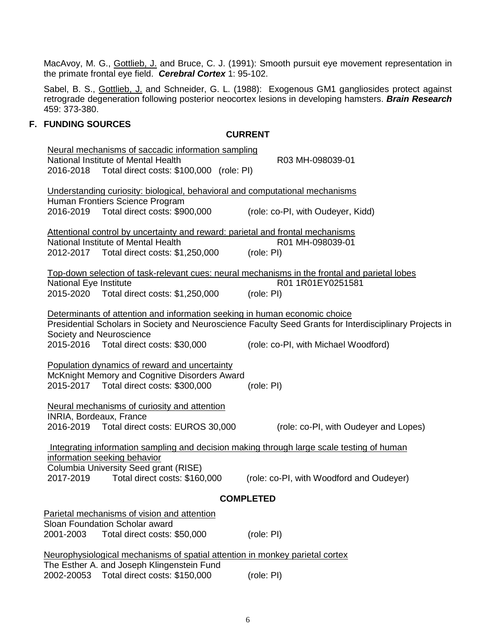MacAvoy, M. G., *Gottlieb, J.* and Bruce, C. J. (1991): Smooth pursuit eye movement representation in the primate frontal eye field. *Cerebral Cortex* 1: 95-102.

Sabel, B. S., Gottlieb, J. and Schneider, G. L. (1988): Exogenous GM1 gangliosides protect against retrograde degeneration following posterior neocortex lesions in developing hamsters. *Brain Research* 459: 373-380.

### **F. FUNDING SOURCES**

#### **CURRENT**

| Neural mechanisms of saccadic information sampling                                                                        |                                                                                                         |  |  |
|---------------------------------------------------------------------------------------------------------------------------|---------------------------------------------------------------------------------------------------------|--|--|
| National Institute of Mental Health                                                                                       | R03 MH-098039-01                                                                                        |  |  |
| 2016-2018 Total direct costs: \$100,000 (role: PI)                                                                        |                                                                                                         |  |  |
|                                                                                                                           |                                                                                                         |  |  |
| Understanding curiosity: biological, behavioral and computational mechanisms                                              |                                                                                                         |  |  |
| Human Frontiers Science Program                                                                                           |                                                                                                         |  |  |
| 2016-2019  Total direct costs: \$900,000                                                                                  | (role: co-PI, with Oudeyer, Kidd)                                                                       |  |  |
| Attentional control by uncertainty and reward: parietal and frontal mechanisms                                            |                                                                                                         |  |  |
| National Institute of Mental Health                                                                                       | R01 MH-098039-01                                                                                        |  |  |
| 2012-2017 Total direct costs: \$1,250,000                                                                                 | (role: PI)                                                                                              |  |  |
|                                                                                                                           |                                                                                                         |  |  |
| Top-down selection of task-relevant cues: neural mechanisms in the frontal and parietal lobes                             |                                                                                                         |  |  |
| National Eye Institute                                                                                                    | R01 1R01EY0251581                                                                                       |  |  |
| 2015-2020 Total direct costs: \$1,250,000                                                                                 | (role: PI)                                                                                              |  |  |
|                                                                                                                           |                                                                                                         |  |  |
| Determinants of attention and information seeking in human economic choice                                                |                                                                                                         |  |  |
|                                                                                                                           | Presidential Scholars in Society and Neuroscience Faculty Seed Grants for Interdisciplinary Projects in |  |  |
| Society and Neuroscience<br>2015-2016  Total direct costs: \$30,000                                                       | (role: co-PI, with Michael Woodford)                                                                    |  |  |
|                                                                                                                           |                                                                                                         |  |  |
| Population dynamics of reward and uncertainty                                                                             |                                                                                                         |  |  |
| McKnight Memory and Cognitive Disorders Award                                                                             |                                                                                                         |  |  |
| 2015-2017  Total direct costs: \$300,000                                                                                  | (role: PI)                                                                                              |  |  |
|                                                                                                                           |                                                                                                         |  |  |
| Neural mechanisms of curiosity and attention                                                                              |                                                                                                         |  |  |
| INRIA, Bordeaux, France                                                                                                   |                                                                                                         |  |  |
| 2016-2019  Total direct costs: EUROS 30,000                                                                               | (role: co-PI, with Oudeyer and Lopes)                                                                   |  |  |
|                                                                                                                           |                                                                                                         |  |  |
| Integrating information sampling and decision making through large scale testing of human<br>information seeking behavior |                                                                                                         |  |  |
| Columbia University Seed grant (RISE)                                                                                     |                                                                                                         |  |  |
| Total direct costs: \$160,000<br>2017-2019                                                                                | (role: co-PI, with Woodford and Oudeyer)                                                                |  |  |
|                                                                                                                           |                                                                                                         |  |  |
| <b>COMPLETED</b>                                                                                                          |                                                                                                         |  |  |
| Parietal mechanisms of vision and attention                                                                               |                                                                                                         |  |  |
| Sloan Foundation Scholar award                                                                                            |                                                                                                         |  |  |
| 2001-2003<br>Total direct costs: \$50,000                                                                                 | (role: PI)                                                                                              |  |  |
|                                                                                                                           |                                                                                                         |  |  |
| Neurophysiological mechanisms of spatial attention in monkey parietal cortex                                              |                                                                                                         |  |  |
| The Esther A. and Joseph Klingenstein Fund                                                                                |                                                                                                         |  |  |
| Total direct costs: \$150,000<br>2002-20053                                                                               | (role: PI)                                                                                              |  |  |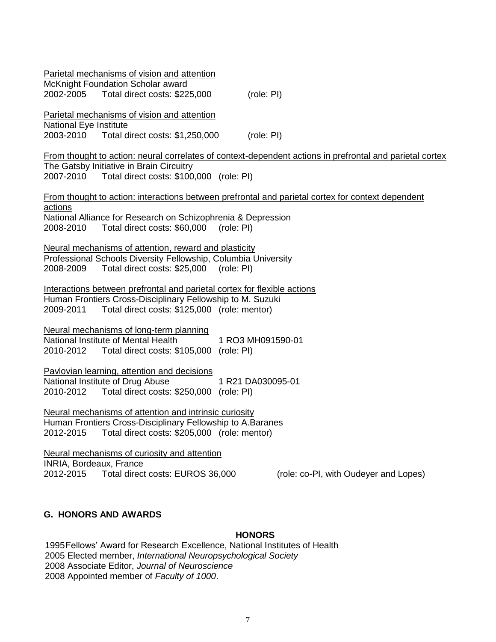|                                      | Parietal mechanisms of vision and attention<br>McKnight Foundation Scholar award<br>2002-2005 Total direct costs: \$225,000                                                            | (role: PI)        |                                                                                                          |
|--------------------------------------|----------------------------------------------------------------------------------------------------------------------------------------------------------------------------------------|-------------------|----------------------------------------------------------------------------------------------------------|
| National Eye Institute               | Parietal mechanisms of vision and attention<br>2003-2010 Total direct costs: \$1,250,000                                                                                               | (role: PI)        |                                                                                                          |
|                                      | The Gatsby Initiative in Brain Circuitry                                                                                                                                               |                   | From thought to action: neural correlates of context-dependent actions in prefrontal and parietal cortex |
| actions<br>2008-2010                 | National Alliance for Research on Schizophrenia & Depression<br>Total direct costs: \$60,000 (role: PI)                                                                                |                   | From thought to action: interactions between prefrontal and parietal cortex for context dependent        |
| 2008-2009                            | Neural mechanisms of attention, reward and plasticity<br>Professional Schools Diversity Fellowship, Columbia University<br>Total direct costs: \$25,000                                | (role: PI)        |                                                                                                          |
| 2009-2011                            | Interactions between prefrontal and parietal cortex for flexible actions<br>Human Frontiers Cross-Disciplinary Fellowship to M. Suzuki<br>Total direct costs: \$125,000 (role: mentor) |                   |                                                                                                          |
| 2010-2012                            | Neural mechanisms of long-term planning<br>National Institute of Mental Health<br>Total direct costs: \$105,000 (role: PI)                                                             | 1 RO3 MH091590-01 |                                                                                                          |
| National Institute of Drug Abuse     | Pavlovian learning, attention and decisions                                                                                                                                            | 1 R21 DA030095-01 |                                                                                                          |
| 2012-2015                            | Neural mechanisms of attention and intrinsic curiosity<br>Human Frontiers Cross-Disciplinary Fellowship to A.Baranes<br>Total direct costs: \$205,000 (role: mentor)                   |                   |                                                                                                          |
| INRIA, Bordeaux, France<br>2012-2015 | Neural mechanisms of curiosity and attention<br>Total direct costs: EUROS 36,000                                                                                                       |                   | (role: co-PI, with Oudeyer and Lopes)                                                                    |

## **G. HONORS AND AWARDS**

#### **HONORS**

1995Fellows' Award for Research Excellence, National Institutes of Health 2005 Elected member, *International Neuropsychological Society* 2008 Associate Editor, *Journal of Neuroscience* 2008 Appointed member of *Faculty of 1000*.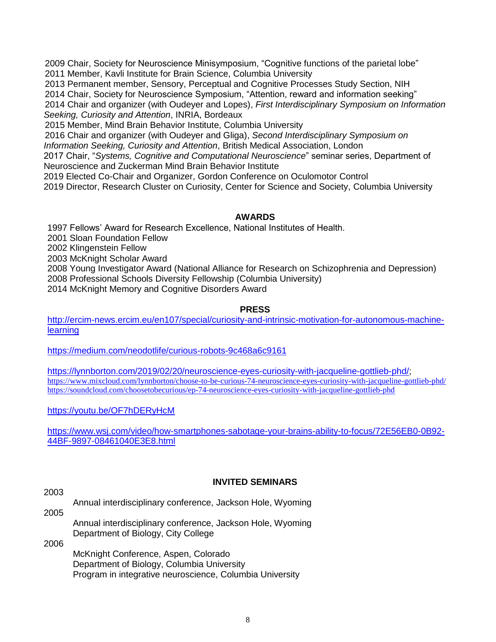2009 Chair, Society for Neuroscience Minisymposium, "Cognitive functions of the parietal lobe" 2011 Member, Kavli Institute for Brain Science, Columbia University

2013 Permanent member, Sensory, Perceptual and Cognitive Processes Study Section, NIH

2014 Chair, Society for Neuroscience Symposium, "Attention, reward and information seeking"

2014 Chair and organizer (with Oudeyer and Lopes), *First Interdisciplinary Symposium on Information Seeking, Curiosity and Attention*, INRIA, Bordeaux

2015 Member, Mind Brain Behavior Institute, Columbia University

2016 Chair and organizer (with Oudeyer and Gliga), *Second Interdisciplinary Symposium on Information Seeking, Curiosity and Attention*, British Medical Association, London

2017 Chair, "*Systems, Cognitive and Computational Neuroscience*" seminar series, Department of Neuroscience and Zuckerman Mind Brain Behavior Institute

2019 Elected Co-Chair and Organizer, Gordon Conference on Oculomotor Control

2019 Director, Research Cluster on Curiosity, Center for Science and Society, Columbia University

### **AWARDS**

1997 Fellows' Award for Research Excellence, National Institutes of Health.

2001 Sloan Foundation Fellow

2002 Klingenstein Fellow

2003 McKnight Scholar Award

2008 Young Investigator Award (National Alliance for Research on Schizophrenia and Depression)

2008 Professional Schools Diversity Fellowship (Columbia University)

2014 McKnight Memory and Cognitive Disorders Award

#### **PRESS**

[http://ercim-news.ercim.eu/en107/special/curiosity-and-intrinsic-motivation-for-autonomous-machine](http://ercim-news.ercim.eu/en107/special/curiosity-and-intrinsic-motivation-for-autonomous-machine-learning)[learning](http://ercim-news.ercim.eu/en107/special/curiosity-and-intrinsic-motivation-for-autonomous-machine-learning)

<https://medium.com/neodotlife/curious-robots-9c468a6c9161>

[https://lynnborton.com/2019/02/20/neuroscience-eyes-curiosity-with-jacqueline-gottlieb-phd/;](https://lynnborton.com/2019/02/20/neuroscience-eyes-curiosity-with-jacqueline-gottlieb-phd/) <https://www.mixcloud.com/lynnborton/choose-to-be-curious-74-neuroscience-eyes-curiosity-with-jacqueline-gottlieb-phd/> <https://soundcloud.com/choosetobecurious/ep-74-neuroscience-eyes-curiosity-with-jacqueline-gottlieb-phd>

<https://youtu.be/OF7hDERyHcM>

[https://www.wsj.com/video/how-smartphones-sabotage-your-brains-ability-to-focus/72E56EB0-0B92-](https://www.wsj.com/video/how-smartphones-sabotage-your-brains-ability-to-focus/72E56EB0-0B92-44BF-9897-08461040E3E8.html) [44BF-9897-08461040E3E8.html](https://www.wsj.com/video/how-smartphones-sabotage-your-brains-ability-to-focus/72E56EB0-0B92-44BF-9897-08461040E3E8.html)

### **INVITED SEMINARS**

Annual interdisciplinary conference, Jackson Hole, Wyoming

2005

2003

Annual interdisciplinary conference, Jackson Hole, Wyoming Department of Biology, City College

2006

McKnight Conference, Aspen, Colorado Department of Biology, Columbia University Program in integrative neuroscience, Columbia University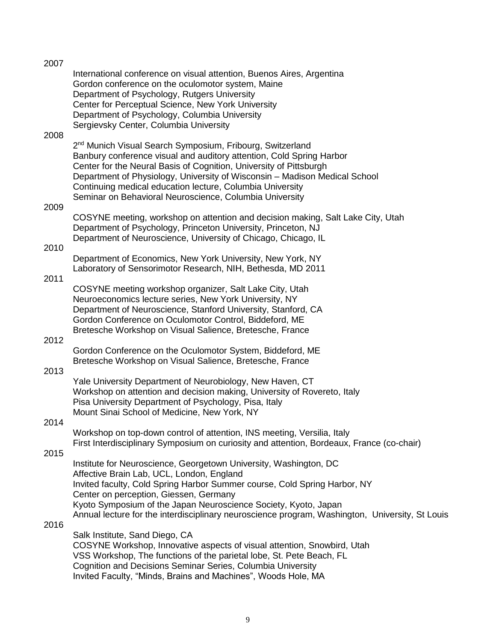| 2007 |                                                                                                                                                                                                                                                                                                                                                                                                                           |
|------|---------------------------------------------------------------------------------------------------------------------------------------------------------------------------------------------------------------------------------------------------------------------------------------------------------------------------------------------------------------------------------------------------------------------------|
| 2008 | International conference on visual attention, Buenos Aires, Argentina<br>Gordon conference on the oculomotor system, Maine<br>Department of Psychology, Rutgers University<br>Center for Perceptual Science, New York University<br>Department of Psychology, Columbia University<br>Sergievsky Center, Columbia University                                                                                               |
|      | 2 <sup>nd</sup> Munich Visual Search Symposium, Fribourg, Switzerland<br>Banbury conference visual and auditory attention, Cold Spring Harbor<br>Center for the Neural Basis of Cognition, University of Pittsburgh<br>Department of Physiology, University of Wisconsin – Madison Medical School<br>Continuing medical education lecture, Columbia University<br>Seminar on Behavioral Neuroscience, Columbia University |
| 2009 | COSYNE meeting, workshop on attention and decision making, Salt Lake City, Utah<br>Department of Psychology, Princeton University, Princeton, NJ<br>Department of Neuroscience, University of Chicago, Chicago, IL                                                                                                                                                                                                        |
| 2010 |                                                                                                                                                                                                                                                                                                                                                                                                                           |
|      | Department of Economics, New York University, New York, NY<br>Laboratory of Sensorimotor Research, NIH, Bethesda, MD 2011                                                                                                                                                                                                                                                                                                 |
| 2011 | COSYNE meeting workshop organizer, Salt Lake City, Utah<br>Neuroeconomics lecture series, New York University, NY<br>Department of Neuroscience, Stanford University, Stanford, CA<br>Gordon Conference on Oculomotor Control, Biddeford, ME<br>Bretesche Workshop on Visual Salience, Bretesche, France                                                                                                                  |
| 2012 | Gordon Conference on the Oculomotor System, Biddeford, ME<br>Bretesche Workshop on Visual Salience, Bretesche, France                                                                                                                                                                                                                                                                                                     |
| 2013 | Yale University Department of Neurobiology, New Haven, CT<br>Workshop on attention and decision making, University of Rovereto, Italy<br>Pisa University Department of Psychology, Pisa, Italy<br>Mount Sinai School of Medicine, New York, NY                                                                                                                                                                            |
| 2014 | Workshop on top-down control of attention, INS meeting, Versilia, Italy<br>First Interdisciplinary Symposium on curiosity and attention, Bordeaux, France (co-chair)                                                                                                                                                                                                                                                      |
| 2015 | Institute for Neuroscience, Georgetown University, Washington, DC<br>Affective Brain Lab, UCL, London, England<br>Invited faculty, Cold Spring Harbor Summer course, Cold Spring Harbor, NY<br>Center on perception, Giessen, Germany<br>Kyoto Symposium of the Japan Neuroscience Society, Kyoto, Japan<br>Annual lecture for the interdisciplinary neuroscience program, Washington, University, St Louis               |
| 2016 | Salk Institute, Sand Diego, CA<br>COSYNE Workshop, Innovative aspects of visual attention, Snowbird, Utah<br>VSS Workshop, The functions of the parietal lobe, St. Pete Beach, FL<br>Cognition and Decisions Seminar Series, Columbia University                                                                                                                                                                          |

Invited Faculty, "Minds, Brains and Machines", Woods Hole, MA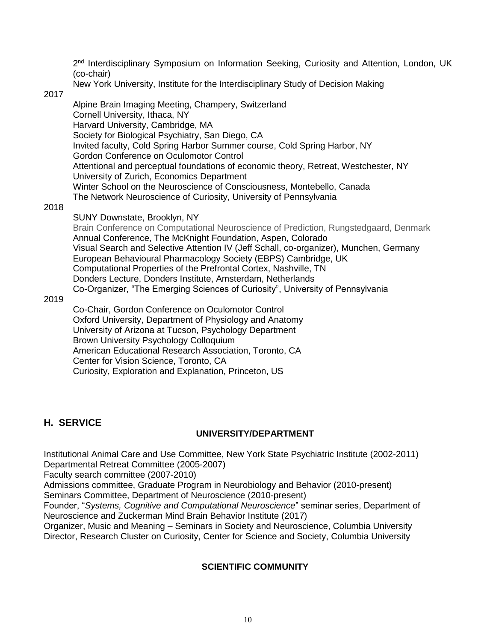2<sup>nd</sup> Interdisciplinary Symposium on Information Seeking, Curiosity and Attention, London, UK (co-chair)

New York University, Institute for the Interdisciplinary Study of Decision Making

2017

Alpine Brain Imaging Meeting, Champery, Switzerland Cornell University, Ithaca, NY Harvard University, Cambridge, MA Society for Biological Psychiatry, San Diego, CA Invited faculty, Cold Spring Harbor Summer course, Cold Spring Harbor, NY Gordon Conference on Oculomotor Control Attentional and perceptual foundations of economic theory, Retreat, Westchester, NY University of Zurich, Economics Department Winter School on the Neuroscience of Consciousness, Montebello, Canada The Network Neuroscience of Curiosity, University of Pennsylvania

2018

#### SUNY Downstate, Brooklyn, NY

Brain Conference on Computational Neuroscience of Prediction, Rungstedgaard, Denmark Annual Conference, The McKnight Foundation, Aspen, Colorado Visual Search and Selective Attention IV (Jeff Schall, co-organizer), Munchen, Germany European Behavioural Pharmacology Society (EBPS) Cambridge, UK Computational Properties of the Prefrontal Cortex, Nashville, TN Donders Lecture, Donders Institute, Amsterdam, Netherlands Co-Organizer, "The Emerging Sciences of Curiosity", University of Pennsylvania

2019

Co-Chair, Gordon Conference on Oculomotor Control Oxford University, Department of Physiology and Anatomy University of Arizona at Tucson, Psychology Department Brown University Psychology Colloquium American Educational Research Association, Toronto, CA Center for Vision Science, Toronto, CA Curiosity, Exploration and Explanation, Princeton, US

# **H. SERVICE**

### **UNIVERSITY/DEPARTMENT**

Institutional Animal Care and Use Committee, New York State Psychiatric Institute (2002-2011) Departmental Retreat Committee (2005-2007)

Faculty search committee (2007-2010)

Admissions committee, Graduate Program in Neurobiology and Behavior (2010-present) Seminars Committee, Department of Neuroscience (2010-present)

Founder, "*Systems, Cognitive and Computational Neuroscience*" seminar series, Department of Neuroscience and Zuckerman Mind Brain Behavior Institute (2017)

Organizer, Music and Meaning – Seminars in Society and Neuroscience, Columbia University Director, Research Cluster on Curiosity, Center for Science and Society, Columbia University

### **SCIENTIFIC COMMUNITY**